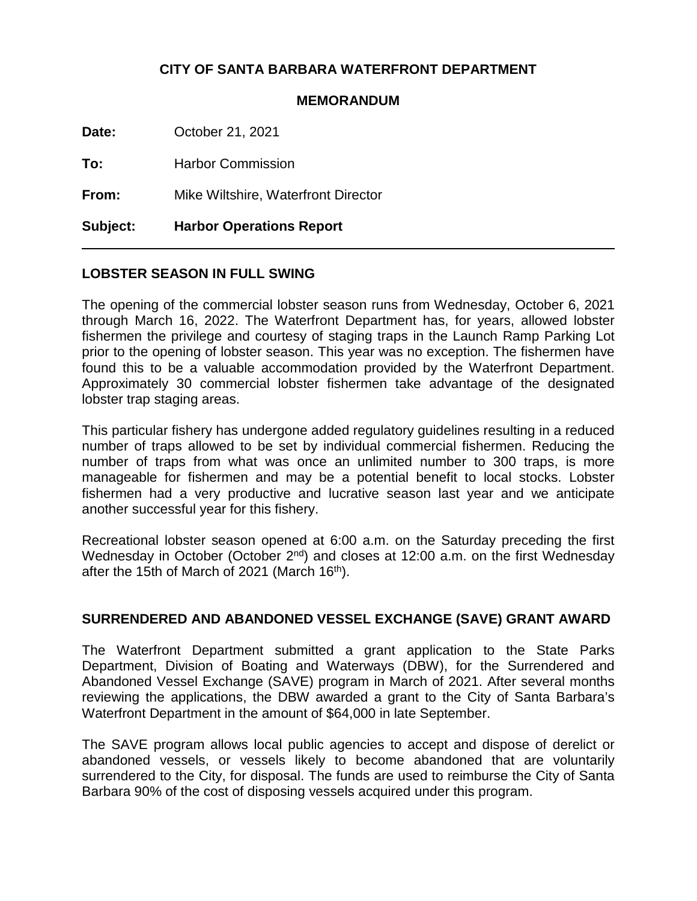## **CITY OF SANTA BARBARA WATERFRONT DEPARTMENT**

#### **MEMORANDUM**

**Date:** October 21, 2021

**To:** Harbor Commission

**From:** Mike Wiltshire, Waterfront Director

**Subject: Harbor Operations Report**

## **LOBSTER SEASON IN FULL SWING**

The opening of the commercial lobster season runs from Wednesday, October 6, 2021 through March 16, 2022. The Waterfront Department has, for years, allowed lobster fishermen the privilege and courtesy of staging traps in the Launch Ramp Parking Lot prior to the opening of lobster season. This year was no exception. The fishermen have found this to be a valuable accommodation provided by the Waterfront Department. Approximately 30 commercial lobster fishermen take advantage of the designated lobster trap staging areas.

This particular fishery has undergone added regulatory guidelines resulting in a reduced number of traps allowed to be set by individual commercial fishermen. Reducing the number of traps from what was once an unlimited number to 300 traps, is more manageable for fishermen and may be a potential benefit to local stocks. Lobster fishermen had a very productive and lucrative season last year and we anticipate another successful year for this fishery.

Recreational lobster season opened at 6:00 a.m. on the Saturday preceding the first Wednesday in October (October  $2^{nd}$ ) and closes at 12:00 a.m. on the first Wednesday after the 15th of March of 2021 (March 16<sup>th</sup>).

## **SURRENDERED AND ABANDONED VESSEL EXCHANGE (SAVE) GRANT AWARD**

The Waterfront Department submitted a grant application to the State Parks Department, Division of Boating and Waterways (DBW), for the Surrendered and Abandoned Vessel Exchange (SAVE) program in March of 2021. After several months reviewing the applications, the DBW awarded a grant to the City of Santa Barbara's Waterfront Department in the amount of \$64,000 in late September.

The SAVE program allows local public agencies to accept and dispose of derelict or abandoned vessels, or vessels likely to become abandoned that are voluntarily surrendered to the City, for disposal. The funds are used to reimburse the City of Santa Barbara 90% of the cost of disposing vessels acquired under this program.